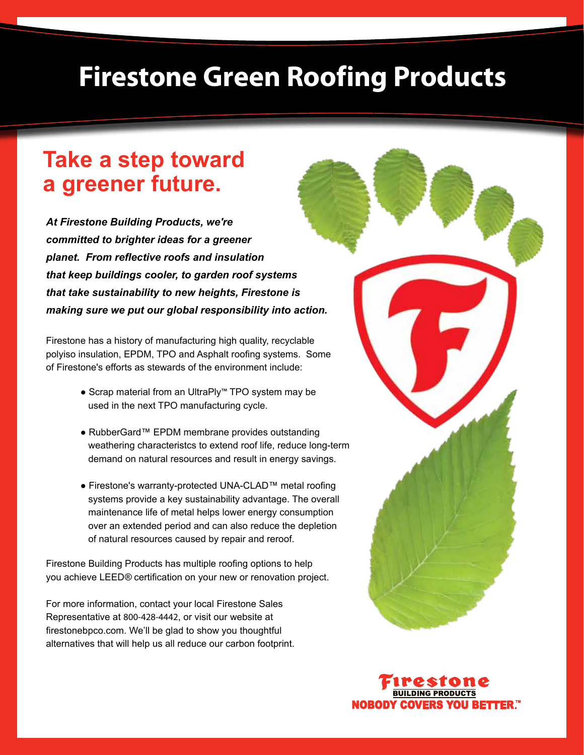# **Firestone Green Roofing Products**

## **Take a step toward a greener future.**

*At Firestone Building Products, we're committed to brighter ideas for a greener planet. From reflective roofs and insulation that keep buildings cooler, to garden roof systems that take sustainability to new heights, Firestone is making sure we put our global responsibility into action.*

Firestone has a history of manufacturing high quality, recyclable polyiso insulation, EPDM, TPO and Asphalt roofing systems. Some of Firestone's efforts as stewards of the environment include:

- Scrap material from an UltraPly™ TPO system may be used in the next TPO manufacturing cycle.
- RubberGard™ EPDM membrane provides outstanding weathering characteristcs to extend roof life, reduce long-term demand on natural resources and result in energy savings.
- Firestone's warranty-protected UNA-CLAD™ metal roofing systems provide a key sustainability advantage. The overall maintenance life of metal helps lower energy consumption over an extended period and can also reduce the depletion of natural resources caused by repair and reroof.

Firestone Building Products has multiple roofing options to help you achieve LEED*®* certification on your new or renovation project.

For more information, contact your local Firestone Sales Representative at 800-428-4442, or visit our website at firestonebpco.com. We'll be glad to show you thoughtful alternatives that will help us all reduce our carbon footprint.